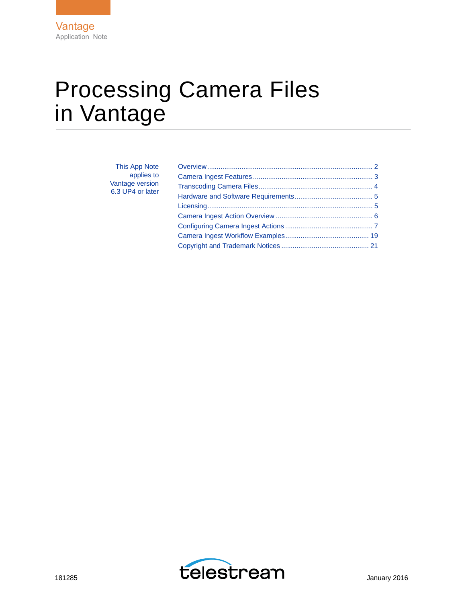# Processing Camera Files in Vantage

| This App Note    |  |
|------------------|--|
| applies to       |  |
| Vantage version  |  |
| 6.3 UP4 or later |  |
|                  |  |
|                  |  |
|                  |  |
|                  |  |
|                  |  |

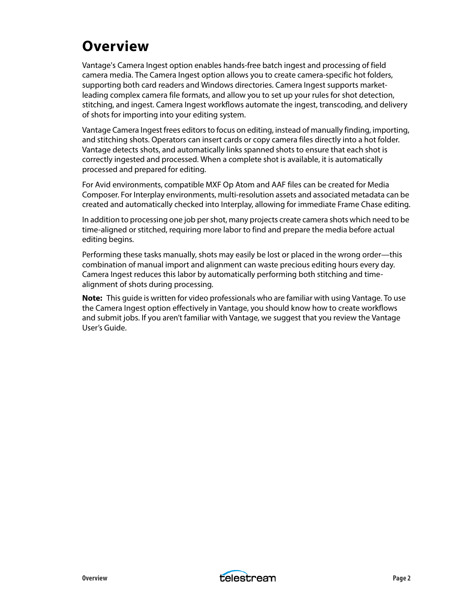## <span id="page-1-0"></span>**Overview**

Vantage's Camera Ingest option enables hands-free batch ingest and processing of field camera media. The Camera Ingest option allows you to create camera-specific hot folders, supporting both card readers and Windows directories. Camera Ingest supports marketleading complex camera file formats, and allow you to set up your rules for shot detection, stitching, and ingest. Camera Ingest workflows automate the ingest, transcoding, and delivery of shots for importing into your editing system.

Vantage Camera Ingest frees editors to focus on editing, instead of manually finding, importing, and stitching shots. Operators can insert cards or copy camera files directly into a hot folder. Vantage detects shots, and automatically links spanned shots to ensure that each shot is correctly ingested and processed. When a complete shot is available, it is automatically processed and prepared for editing.

For Avid environments, compatible MXF Op Atom and AAF files can be created for Media Composer. For Interplay environments, multi-resolution assets and associated metadata can be created and automatically checked into Interplay, allowing for immediate Frame Chase editing.

In addition to processing one job per shot, many projects create camera shots which need to be time-aligned or stitched, requiring more labor to find and prepare the media before actual editing begins.

Performing these tasks manually, shots may easily be lost or placed in the wrong order—this combination of manual import and alignment can waste precious editing hours every day. Camera Ingest reduces this labor by automatically performing both stitching and timealignment of shots during processing.

**Note:** This guide is written for video professionals who are familiar with using Vantage. To use the Camera Ingest option effectively in Vantage, you should know how to create workflows and submit jobs. If you aren't familiar with Vantage, we suggest that you review the Vantage User's Guide.

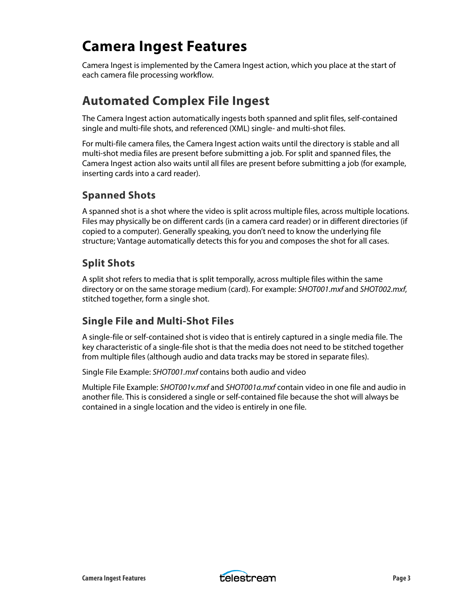## <span id="page-2-0"></span>**Camera Ingest Features**

Camera Ingest is implemented by the Camera Ingest action, which you place at the start of each camera file processing workflow.

### **Automated Complex File Ingest**

The Camera Ingest action automatically ingests both spanned and split files, self-contained single and multi-file shots, and referenced (XML) single- and multi-shot files.

For multi-file camera files, the Camera Ingest action waits until the directory is stable and all multi-shot media files are present before submitting a job. For split and spanned files, the Camera Ingest action also waits until all files are present before submitting a job (for example, inserting cards into a card reader).

### **Spanned Shots**

A spanned shot is a shot where the video is split across multiple files, across multiple locations. Files may physically be on different cards (in a camera card reader) or in different directories (if copied to a computer). Generally speaking, you don't need to know the underlying file structure; Vantage automatically detects this for you and composes the shot for all cases.

### **Split Shots**

A split shot refers to media that is split temporally, across multiple files within the same directory or on the same storage medium (card). For example: SHOT001.mxf and SHOT002.mxf, stitched together, form a single shot.

### **Single File and Multi-Shot Files**

A single-file or self-contained shot is video that is entirely captured in a single media file. The key characteristic of a single-file shot is that the media does not need to be stitched together from multiple files (although audio and data tracks may be stored in separate files).

Single File Example: SHOT001.mxf contains both audio and video

Multiple File Example: SHOT001v.mxf and SHOT001a.mxf contain video in one file and audio in another file. This is considered a single or self-contained file because the shot will always be contained in a single location and the video is entirely in one file.

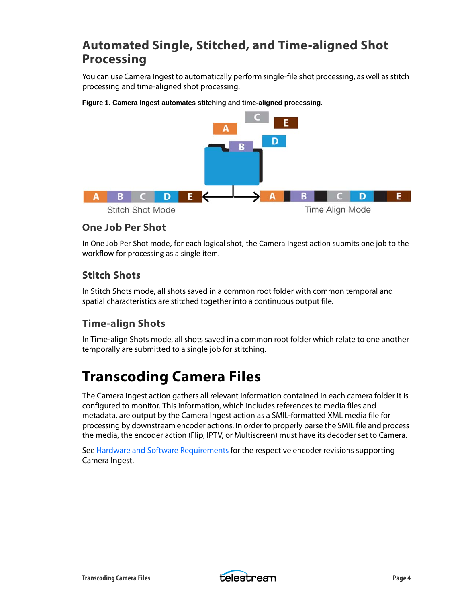### **Automated Single, Stitched, and Time-aligned Shot Processing**

You can use Camera Ingest to automatically perform single-file shot processing, as well as stitch processing and time-aligned shot processing.



**Figure 1. Camera Ingest automates stitching and time-aligned processing.**

### **One Job Per Shot**

In One Job Per Shot mode, for each logical shot, the Camera Ingest action submits one job to the workflow for processing as a single item.

### **Stitch Shots**

In Stitch Shots mode, all shots saved in a common root folder with common temporal and spatial characteristics are stitched together into a continuous output file.

### **Time-align Shots**

In Time-align Shots mode, all shots saved in a common root folder which relate to one another temporally are submitted to a single job for stitching.

## <span id="page-3-0"></span>**Transcoding Camera Files**

The Camera Ingest action gathers all relevant information contained in each camera folder it is configured to monitor. This information, which includes references to media files and metadata, are output by the Camera Ingest action as a SMIL-formatted XML media file for processing by downstream encoder actions. In order to properly parse the SMIL file and process the media, the encoder action (Flip, IPTV, or Multiscreen) must have its decoder set to Camera.

See [Hardware and Software Requirements](#page-4-1) for the respective encoder revisions supporting Camera Ingest.

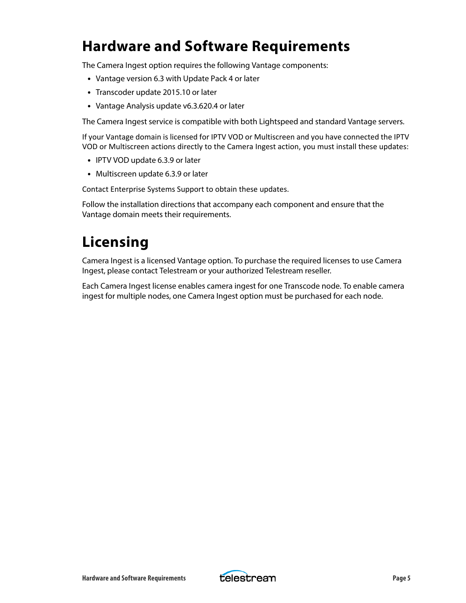## <span id="page-4-1"></span>**Hardware and Software Requirements**

The Camera Ingest option requires the following Vantage components:

- **•** Vantage version 6.3 with Update Pack 4 or later
- **•** Transcoder update 2015.10 or later
- **•** Vantage Analysis update v6.3.620.4 or later

The Camera Ingest service is compatible with both Lightspeed and standard Vantage servers.

If your Vantage domain is licensed for IPTV VOD or Multiscreen and you have connected the IPTV VOD or Multiscreen actions directly to the Camera Ingest action, you must install these updates:

- **•** IPTV VOD update 6.3.9 or later
- **•** Multiscreen update 6.3.9 or later

Contact Enterprise Systems Support to obtain these updates.

Follow the installation directions that accompany each component and ensure that the Vantage domain meets their requirements.

## <span id="page-4-0"></span>**Licensing**

Camera Ingest is a licensed Vantage option. To purchase the required licenses to use Camera Ingest, please contact Telestream or your authorized Telestream reseller.

Each Camera Ingest license enables camera ingest for one Transcode node. To enable camera ingest for multiple nodes, one Camera Ingest option must be purchased for each node.

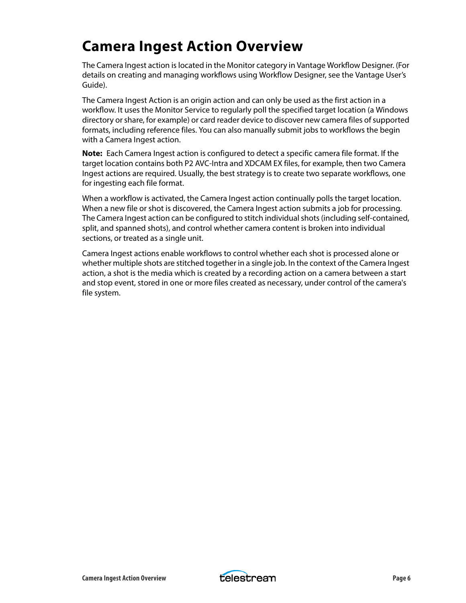## <span id="page-5-0"></span>**Camera Ingest Action Overview**

The Camera Ingest action is located in the Monitor category in Vantage Workflow Designer. (For details on creating and managing workflows using Workflow Designer, see the Vantage User's Guide).

The Camera Ingest Action is an origin action and can only be used as the first action in a workflow. It uses the Monitor Service to regularly poll the specified target location (a Windows directory or share, for example) or card reader device to discover new camera files of supported formats, including reference files. You can also manually submit jobs to workflows the begin with a Camera Ingest action.

**Note:** Each Camera Ingest action is configured to detect a specific camera file format. If the target location contains both P2 AVC-Intra and XDCAM EX files, for example, then two Camera Ingest actions are required. Usually, the best strategy is to create two separate workflows, one for ingesting each file format.

When a workflow is activated, the Camera Ingest action continually polls the target location. When a new file or shot is discovered, the Camera Ingest action submits a job for processing. The Camera Ingest action can be configured to stitch individual shots (including self-contained, split, and spanned shots), and control whether camera content is broken into individual sections, or treated as a single unit.

Camera Ingest actions enable workflows to control whether each shot is processed alone or whether multiple shots are stitched together in a single job. In the context of the Camera Ingest action, a shot is the media which is created by a recording action on a camera between a start and stop event, stored in one or more files created as necessary, under control of the camera's file system.

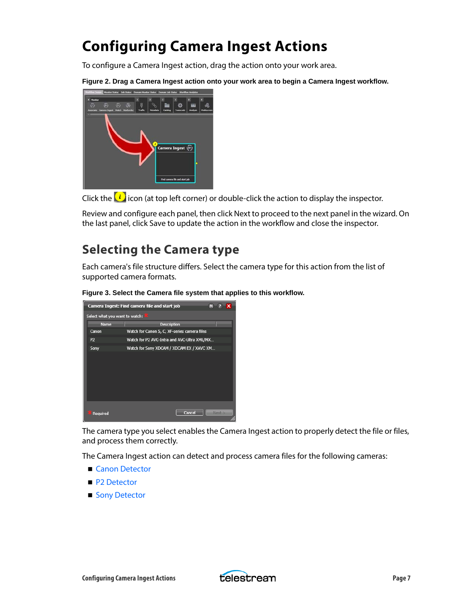## <span id="page-6-0"></span>**Configuring Camera Ingest Actions**

To configure a Camera Ingest action, drag the action onto your work area.

**Figure 2. Drag a Camera Ingest action onto your work area to begin a Camera Ingest workflow.**



Click the  $\left\{i\right\}$  icon (at top left corner) or double-click the action to display the inspector.

Review and configure each panel, then click Next to proceed to the next panel in the wizard. On the last panel, click Save to update the action in the workflow and close the inspector.

### **Selecting the Camera type**

Each camera's file structure differs. Select the camera type for this action from the list of supported camera formats.





The camera type you select enables the Camera Ingest action to properly detect the file or files, and process them correctly.

The Camera Ingest action can detect and process camera files for the following cameras:

- [Canon Detector](#page-7-0)
- [P2 Detector](#page-7-1)
- [Sony Detector](#page-7-2)

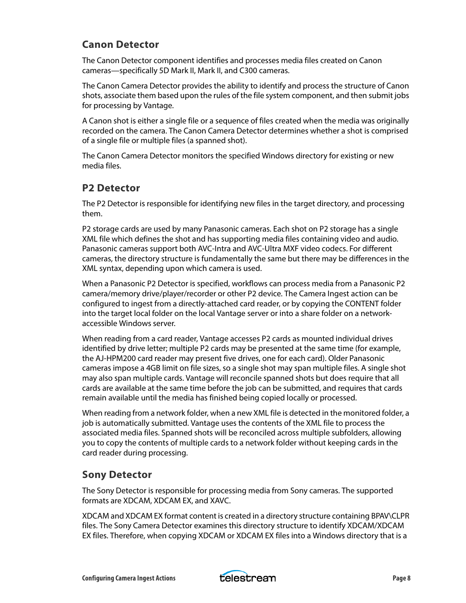### <span id="page-7-0"></span>**Canon Detector**

The Canon Detector component identifies and processes media files created on Canon cameras—specifically 5D Mark II, Mark II, and C300 cameras.

The Canon Camera Detector provides the ability to identify and process the structure of Canon shots, associate them based upon the rules of the file system component, and then submit jobs for processing by Vantage.

A Canon shot is either a single file or a sequence of files created when the media was originally recorded on the camera. The Canon Camera Detector determines whether a shot is comprised of a single file or multiple files (a spanned shot).

The Canon Camera Detector monitors the specified Windows directory for existing or new media files.

### <span id="page-7-1"></span>**P2 Detector**

The P2 Detector is responsible for identifying new files in the target directory, and processing them.

P2 storage cards are used by many Panasonic cameras. Each shot on P2 storage has a single XML file which defines the shot and has supporting media files containing video and audio. Panasonic cameras support both AVC-Intra and AVC-Ultra MXF video codecs. For different cameras, the directory structure is fundamentally the same but there may be differences in the XML syntax, depending upon which camera is used.

When a Panasonic P2 Detector is specified, workflows can process media from a Panasonic P2 camera/memory drive/player/recorder or other P2 device. The Camera Ingest action can be configured to ingest from a directly-attached card reader, or by copying the CONTENT folder into the target local folder on the local Vantage server or into a share folder on a networkaccessible Windows server.

When reading from a card reader, Vantage accesses P2 cards as mounted individual drives identified by drive letter; multiple P2 cards may be presented at the same time (for example, the AJ-HPM200 card reader may present five drives, one for each card). Older Panasonic cameras impose a 4GB limit on file sizes, so a single shot may span multiple files. A single shot may also span multiple cards. Vantage will reconcile spanned shots but does require that all cards are available at the same time before the job can be submitted, and requires that cards remain available until the media has finished being copied locally or processed.

When reading from a network folder, when a new XML file is detected in the monitored folder, a job is automatically submitted. Vantage uses the contents of the XML file to process the associated media files. Spanned shots will be reconciled across multiple subfolders, allowing you to copy the contents of multiple cards to a network folder without keeping cards in the card reader during processing.

### <span id="page-7-2"></span>**Sony Detector**

The Sony Detector is responsible for processing media from Sony cameras. The supported formats are XDCAM, XDCAM EX, and XAVC.

XDCAM and XDCAM EX format content is created in a directory structure containing BPAV\CLPR files. The Sony Camera Detector examines this directory structure to identify XDCAM/XDCAM EX files. Therefore, when copying XDCAM or XDCAM EX files into a Windows directory that is a

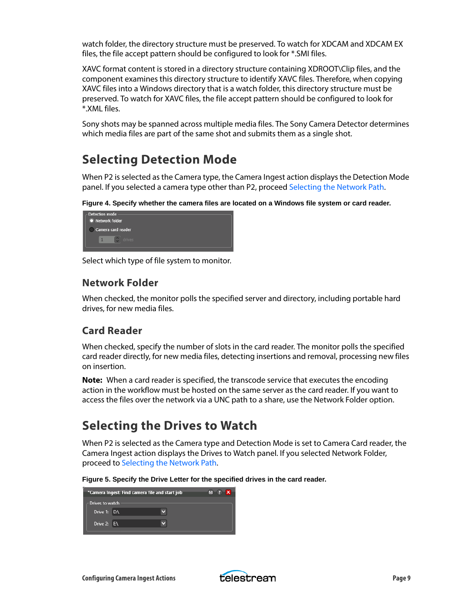watch folder, the directory structure must be preserved. To watch for XDCAM and XDCAM EX files, the file accept pattern should be configured to look for \*.SMI files.

XAVC format content is stored in a directory structure containing XDROOT\Clip files, and the component examines this directory structure to identify XAVC files. Therefore, when copying XAVC files into a Windows directory that is a watch folder, this directory structure must be preserved. To watch for XAVC files, the file accept pattern should be configured to look for \*.XML files.

Sony shots may be spanned across multiple media files. The Sony Camera Detector determines which media files are part of the same shot and submits them as a single shot.

### **Selecting Detection Mode**

When P2 is selected as the Camera type, the Camera Ingest action displays the Detection Mode panel. If you selected a camera type other than P2, proceed [Selecting the Network Path.](#page-9-0)

**Figure 4. Specify whether the camera files are located on a Windows file system or card reader.**



Select which type of file system to monitor.

### **Network Folder**

When checked, the monitor polls the specified server and directory, including portable hard drives, for new media files.

### **Card Reader**

When checked, specify the number of slots in the card reader. The monitor polls the specified card reader directly, for new media files, detecting insertions and removal, processing new files on insertion.

**Note:** When a card reader is specified, the transcode service that executes the encoding action in the workflow must be hosted on the same server as the card reader. If you want to access the files over the network via a UNC path to a share, use the Network Folder option.

### **Selecting the Drives to Watch**

When P2 is selected as the Camera type and Detection Mode is set to Camera Card reader, the Camera Ingest action displays the Drives to Watch panel. If you selected Network Folder, proceed to [Selecting the Network Path.](#page-9-0)

**Figure 5. Specify the Drive Letter for the specified drives in the card reader.**

| *Camera Ingest: Find camera file and start job |  |  |  |
|------------------------------------------------|--|--|--|
| Drives to watch                                |  |  |  |
| Drive 1: $D:\setminus$                         |  |  |  |
| Drive $2: E\setminus$                          |  |  |  |

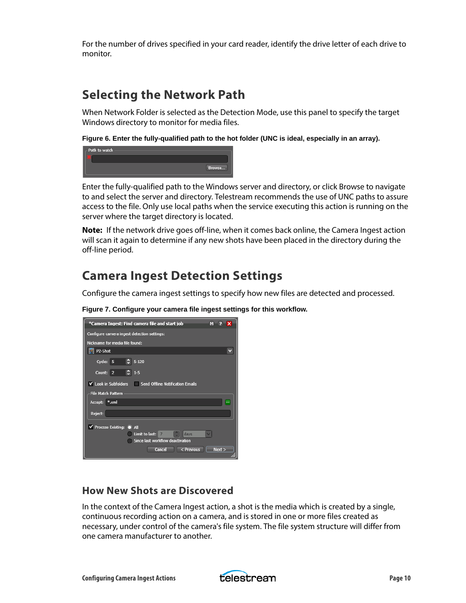For the number of drives specified in your card reader, identify the drive letter of each drive to monitor.

### <span id="page-9-0"></span>**Selecting the Network Path**

When Network Folder is selected as the Detection Mode, use this panel to specify the target Windows directory to monitor for media files.

**Figure 6. Enter the fully-qualified path to the hot folder (UNC is ideal, especially in an array).**

| - Path to watch |        |
|-----------------|--------|
|                 |        |
|                 | Browse |
|                 |        |

Enter the fully-qualified path to the Windows server and directory, or click Browse to navigate to and select the server and directory. Telestream recommends the use of UNC paths to assure access to the file. Only use local paths when the service executing this action is running on the server where the target directory is located.

**Note:** If the network drive goes off-line, when it comes back online, the Camera Ingest action will scan it again to determine if any new shots have been placed in the directory during the off-line period.

### **Camera Ingest Detection Settings**

Configure the camera ingest settings to specify how new files are detected and processed.

| *Camera Ingest: Find camera file and start job        | м    | ∙× |
|-------------------------------------------------------|------|----|
| Configure camera ingest detection settings:           |      |    |
| Nickname for media file found:                        |      |    |
| P2-Shot                                               |      |    |
| $C = 5 - 120$<br>Cycle: 5                             |      |    |
| $\frac{1}{2}$ 1-5<br>Count: 2                         |      |    |
| ✔ Look in Subfolders Send Offline Notification Emails |      |    |
| <b>File Match Pattern</b>                             |      |    |
| Accept: *.xml                                         |      |    |
| Reject:                                               |      |    |
| $\vee$ Process Existing: $\circ$ All                  |      |    |
| Limit to last:<br>days                                |      |    |
| Since last workflow deactivation                      |      |    |
| $\leq$ Previous<br>Cancel                             | Next |    |

**Figure 7. Configure your camera file ingest settings for this workflow.**

### **How New Shots are Discovered**

In the context of the Camera Ingest action, a shot is the media which is created by a single, continuous recording action on a camera, and is stored in one or more files created as necessary, under control of the camera's file system. The file system structure will differ from one camera manufacturer to another.

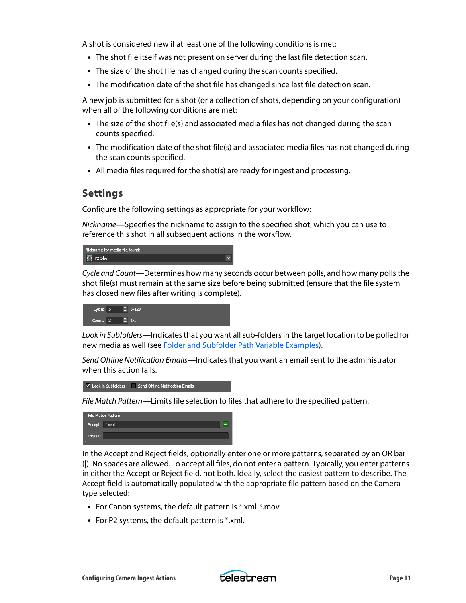A shot is considered new if at least one of the following conditions is met:

- **•** The shot file itself was not present on server during the last file detection scan.
- **•** The size of the shot file has changed during the scan counts specified.
- **•** The modification date of the shot file has changed since last file detection scan.

A new job is submitted for a shot (or a collection of shots, depending on your configuration) when all of the following conditions are met:

- **•** The size of the shot file(s) and associated media files has not changed during the scan counts specified.
- **•** The modification date of the shot file(s) and associated media files has not changed during the scan counts specified.
- **•** All media files required for the shot(s) are ready for ingest and processing.

#### **Settings**

Configure the following settings as appropriate for your workflow:

Nickname—Specifies the nickname to assign to the specified shot, which you can use to reference this shot in all subsequent actions in the workflow.



Cycle and Count—Determines how many seconds occur between polls, and how many polls the shot file(s) must remain at the same size before being submitted (ensure that the file system has closed new files after writing is complete).



Look in Subfolders—Indicates that you want all sub-folders in the target location to be polled for new media as well (see [Folder and Subfolder Path Variable Examples\)](#page-14-0).

Send Offline Notification Emails—Indicates that you want an email sent to the administrator when this action fails.



File Match Pattern—Limits file selection to files that adhere to the specified pattern.



In the Accept and Reject fields, optionally enter one or more patterns, separated by an OR bar (|). No spaces are allowed. To accept all files, do not enter a pattern. Typically, you enter patterns in either the Accept or Reject field, not both. Ideally, select the easiest pattern to describe. The Accept field is automatically populated with the appropriate file pattern based on the Camera type selected:

- **•** For Canon systems, the default pattern is \*.xml|\*.mov.
- **•** For P2 systems, the default pattern is \*.xml.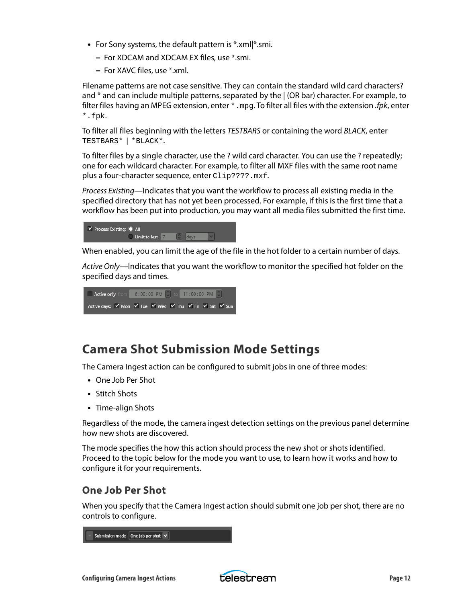- **•** For Sony systems, the default pattern is \*.xml|\*.smi.
	- **–** For XDCAM and XDCAM EX files, use \*.smi.
	- **–** For XAVC files, use \*.xml.

Filename patterns are not case sensitive. They can contain the standard wild card characters? and \* and can include multiple patterns, separated by the | (OR bar) character. For example, to filter files having an MPEG extension, enter  $*$  .  $mpg$ . To filter all files with the extension *.fpk*, enter \*.fpk.

To filter all files beginning with the letters TESTBARS or containing the word BLACK, enter TESTBARS\* | \*BLACK\*.

To filter files by a single character, use the ? wild card character. You can use the ? repeatedly; one for each wildcard character. For example, to filter all MXF files with the same root name plus a four-character sequence, enter Clip????.mxf.

Process Existing—Indicates that you want the workflow to process all existing media in the specified directory that has not yet been processed. For example, if this is the first time that a workflow has been put into production, you may want all media files submitted the first time.

| V Process Existing: 1 All |                    |  |                               |  |
|---------------------------|--------------------|--|-------------------------------|--|
|                           | O Limit to last: 7 |  | $\left  \bullet \right $ days |  |

When enabled, you can limit the age of the file in the hot folder to a certain number of days.

Active Only—Indicates that you want the workflow to monitor the specified hot folder on the specified days and times.



### **Camera Shot Submission Mode Settings**

The Camera Ingest action can be configured to submit jobs in one of three modes:

- **•** One Job Per Shot
- **•** Stitch Shots
- **•** Time-align Shots

Regardless of the mode, the camera ingest detection settings on the previous panel determine how new shots are discovered.

The mode specifies the how this action should process the new shot or shots identified. Proceed to the topic below for the mode you want to use, to learn how it works and how to configure it for your requirements.

#### **One Job Per Shot**

When you specify that the Camera Ingest action should submit one job per shot, there are no controls to configure.



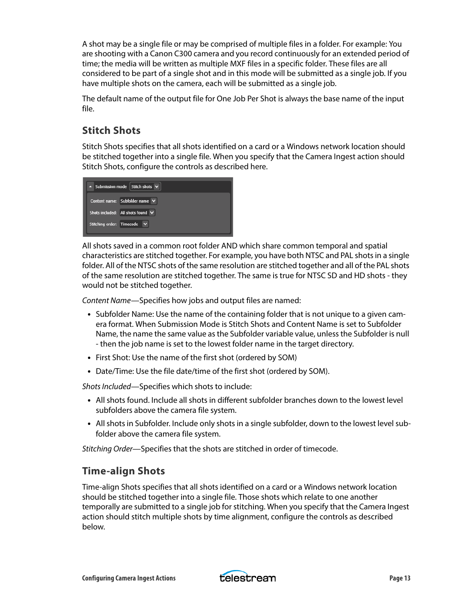A shot may be a single file or may be comprised of multiple files in a folder. For example: You are shooting with a Canon C300 camera and you record continuously for an extended period of time; the media will be written as multiple MXF files in a specific folder. These files are all considered to be part of a single shot and in this mode will be submitted as a single job. If you have multiple shots on the camera, each will be submitted as a single job.

The default name of the output file for One Job Per Shot is always the base name of the input file.

### **Stitch Shots**

Stitch Shots specifies that all shots identified on a card or a Windows network location should be stitched together into a single file. When you specify that the Camera Ingest action should Stitch Shots, configure the controls as described here.

| A Submission mode Stitch shots V                                                  |
|-----------------------------------------------------------------------------------|
| Content name: Subfolder name V                                                    |
| Shots included: $\overline{\phantom{a}}$ All shots found $\overline{\phantom{a}}$ |
| Stitching order: Timecode V                                                       |

All shots saved in a common root folder AND which share common temporal and spatial characteristics are stitched together. For example, you have both NTSC and PAL shots in a single folder. All of the NTSC shots of the same resolution are stitched together and all of the PAL shots of the same resolution are stitched together. The same is true for NTSC SD and HD shots - they would not be stitched together.

Content Name—Specifies how jobs and output files are named:

- **•** Subfolder Name: Use the name of the containing folder that is not unique to a given camera format. When Submission Mode is Stitch Shots and Content Name is set to Subfolder Name, the name the same value as the Subfolder variable value, unless the Subfolder is null - then the job name is set to the lowest folder name in the target directory.
- **•** First Shot: Use the name of the first shot (ordered by SOM)
- **•** Date/Time: Use the file date/time of the first shot (ordered by SOM).

Shots Included—Specifies which shots to include:

- **•** All shots found. Include all shots in different subfolder branches down to the lowest level subfolders above the camera file system.
- **•** All shots in Subfolder. Include only shots in a single subfolder, down to the lowest level subfolder above the camera file system.

Stitching Order—Specifies that the shots are stitched in order of timecode.

### **Time-align Shots**

Time-align Shots specifies that all shots identified on a card or a Windows network location should be stitched together into a single file. Those shots which relate to one another temporally are submitted to a single job for stitching. When you specify that the Camera Ingest action should stitch multiple shots by time alignment, configure the controls as described below.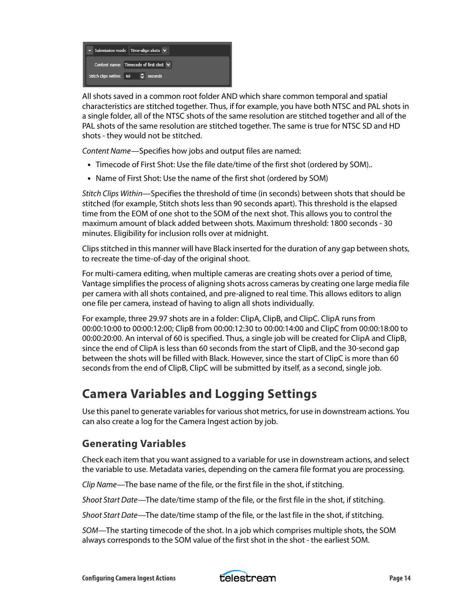| $\sim$ Submission mode Time-align shots $\vee$ |
|------------------------------------------------|
| Content name: Timecode of first shot $\vee$    |
| Stitch clips within: 60<br>ы<br>seconds        |

All shots saved in a common root folder AND which share common temporal and spatial characteristics are stitched together. Thus, if for example, you have both NTSC and PAL shots in a single folder, all of the NTSC shots of the same resolution are stitched together and all of the PAL shots of the same resolution are stitched together. The same is true for NTSC SD and HD shots - they would not be stitched.

Content Name—Specifies how jobs and output files are named:

- **•** Timecode of First Shot: Use the file date/time of the first shot (ordered by SOM)..
- **•** Name of First Shot: Use the name of the first shot (ordered by SOM)

Stitch Clips Within—Specifies the threshold of time (in seconds) between shots that should be stitched (for example, Stitch shots less than 90 seconds apart). This threshold is the elapsed time from the EOM of one shot to the SOM of the next shot. This allows you to control the maximum amount of black added between shots. Maximum threshold: 1800 seconds - 30 minutes. Eligibility for inclusion rolls over at midnight.

Clips stitched in this manner will have Black inserted for the duration of any gap between shots, to recreate the time-of-day of the original shoot.

For multi-camera editing, when multiple cameras are creating shots over a period of time, Vantage simplifies the process of aligning shots across cameras by creating one large media file per camera with all shots contained, and pre-aligned to real time. This allows editors to align one file per camera, instead of having to align all shots individually.

For example, three 29.97 shots are in a folder: ClipA, ClipB, and ClipC. ClipA runs from 00:00:10:00 to 00:00:12:00; ClipB from 00:00:12:30 to 00:00:14:00 and ClipC from 00:00:18:00 to 00:00:20:00. An interval of 60 is specified. Thus, a single job will be created for ClipA and ClipB, since the end of ClipA is less than 60 seconds from the start of ClipB, and the 30-second gap between the shots will be filled with Black. However, since the start of ClipC is more than 60 seconds from the end of ClipB, ClipC will be submitted by itself, as a second, single job.

### **Camera Variables and Logging Settings**

Use this panel to generate variables for various shot metrics, for use in downstream actions. You can also create a log for the Camera Ingest action by job.

### **Generating Variables**

Check each item that you want assigned to a variable for use in downstream actions, and select the variable to use. Metadata varies, depending on the camera file format you are processing.

Clip Name—The base name of the file, or the first file in the shot, if stitching.

Shoot Start Date—The date/time stamp of the file, or the first file in the shot, if stitching.

Shoot Start Date—The date/time stamp of the file, or the last file in the shot, if stitching.

SOM—The starting timecode of the shot. In a job which comprises multiple shots, the SOM always corresponds to the SOM value of the first shot in the shot - the earliest SOM.

Configuring Camera Ingest Actions **Page 14 Configuring Camera Ingest Actions** 

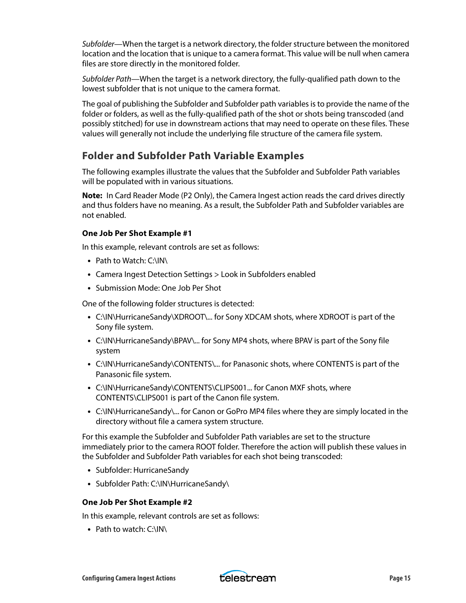Subfolder—When the target is a network directory, the folder structure between the monitored location and the location that is unique to a camera format. This value will be null when camera files are store directly in the monitored folder.

Subfolder Path—When the target is a network directory, the fully-qualified path down to the lowest subfolder that is not unique to the camera format.

The goal of publishing the Subfolder and Subfolder path variables is to provide the name of the folder or folders, as well as the fully-qualified path of the shot or shots being transcoded (and possibly stitched) for use in downstream actions that may need to operate on these files. These values will generally not include the underlying file structure of the camera file system.

### <span id="page-14-0"></span>**Folder and Subfolder Path Variable Examples**

The following examples illustrate the values that the Subfolder and Subfolder Path variables will be populated with in various situations.

**Note:** In Card Reader Mode (P2 Only), the Camera Ingest action reads the card drives directly and thus folders have no meaning. As a result, the Subfolder Path and Subfolder variables are not enabled.

#### **One Job Per Shot Example #1**

In this example, relevant controls are set as follows:

- **•** Path to Watch: C:\IN\
- **•** Camera Ingest Detection Settings > Look in Subfolders enabled
- **•** Submission Mode: One Job Per Shot

One of the following folder structures is detected:

- **•** C:\IN\HurricaneSandy\XDROOT\... for Sony XDCAM shots, where XDROOT is part of the Sony file system.
- **•** C:\IN\HurricaneSandy\BPAV\... for Sony MP4 shots, where BPAV is part of the Sony file system
- **•** C:\IN\HurricaneSandy\CONTENTS\... for Panasonic shots, where CONTENTS is part of the Panasonic file system.
- **•** C:\IN\HurricaneSandy\CONTENTS\CLIPS001... for Canon MXF shots, where CONTENTS\CLIPS001 is part of the Canon file system.
- **•** C:\IN\HurricaneSandy\... for Canon or GoPro MP4 files where they are simply located in the directory without file a camera system structure.

For this example the Subfolder and Subfolder Path variables are set to the structure immediately prior to the camera ROOT folder. Therefore the action will publish these values in the Subfolder and Subfolder Path variables for each shot being transcoded:

- **•** Subfolder: HurricaneSandy
- **•** Subfolder Path: C:\IN\HurricaneSandy\

#### **One Job Per Shot Example #2**

In this example, relevant controls are set as follows:

**•** Path to watch: C:\IN\

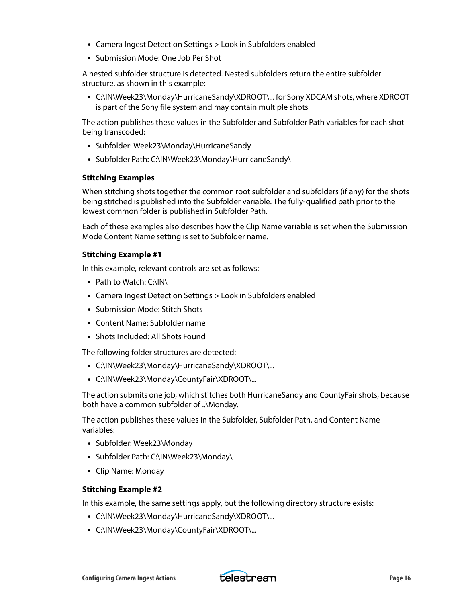- **•** Camera Ingest Detection Settings > Look in Subfolders enabled
- **•** Submission Mode: One Job Per Shot

A nested subfolder structure is detected. Nested subfolders return the entire subfolder structure, as shown in this example:

**•** C:\IN\Week23\Monday\HurricaneSandy\XDROOT\... for Sony XDCAM shots, where XDROOT is part of the Sony file system and may contain multiple shots

The action publishes these values in the Subfolder and Subfolder Path variables for each shot being transcoded:

- **•** Subfolder: Week23\Monday\HurricaneSandy
- **•** Subfolder Path: C:\IN\Week23\Monday\HurricaneSandy\

#### **Stitching Examples**

When stitching shots together the common root subfolder and subfolders (if any) for the shots being stitched is published into the Subfolder variable. The fully-qualified path prior to the lowest common folder is published in Subfolder Path.

Each of these examples also describes how the Clip Name variable is set when the Submission Mode Content Name setting is set to Subfolder name.

#### **Stitching Example #1**

In this example, relevant controls are set as follows:

- **•** Path to Watch: C:\IN\
- **•** Camera Ingest Detection Settings > Look in Subfolders enabled
- **•** Submission Mode: Stitch Shots
- **•** Content Name: Subfolder name
- **•** Shots Included: All Shots Found

The following folder structures are detected:

- **•** C:\IN\Week23\Monday\HurricaneSandy\XDROOT\...
- **•** C:\IN\Week23\Monday\CountyFair\XDROOT\...

The action submits one job, which stitches both HurricaneSandy and CountyFair shots, because both have a common subfolder of ..\Monday.

The action publishes these values in the Subfolder, Subfolder Path, and Content Name variables:

- **•** Subfolder: Week23\Monday
- **•** Subfolder Path: C:\IN\Week23\Monday\
- **•** Clip Name: Monday

#### **Stitching Example #2**

In this example, the same settings apply, but the following directory structure exists:

- **•** C:\IN\Week23\Monday\HurricaneSandy\XDROOT\...
- **•** C:\IN\Week23\Monday\CountyFair\XDROOT\...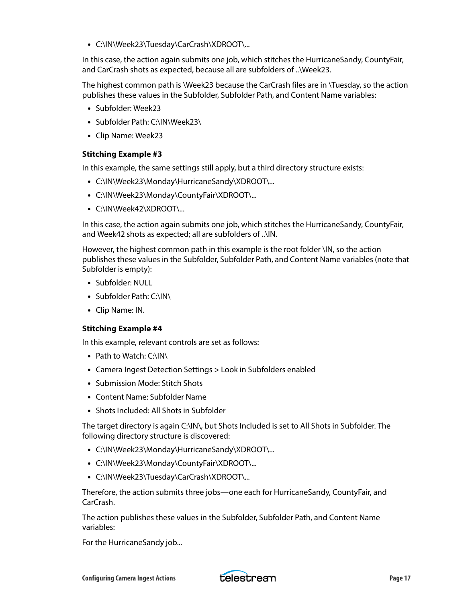**•** C:\IN\Week23\Tuesday\CarCrash\XDROOT\...

In this case, the action again submits one job, which stitches the HurricaneSandy, CountyFair, and CarCrash shots as expected, because all are subfolders of ..\Week23.

The highest common path is \Week23 because the CarCrash files are in \Tuesday, so the action publishes these values in the Subfolder, Subfolder Path, and Content Name variables:

- **•** Subfolder: Week23
- **•** Subfolder Path: C:\IN\Week23\
- **•** Clip Name: Week23

#### **Stitching Example #3**

In this example, the same settings still apply, but a third directory structure exists:

- **•** C:\IN\Week23\Monday\HurricaneSandy\XDROOT\...
- **•** C:\IN\Week23\Monday\CountyFair\XDROOT\...
- **•** C:\IN\Week42\XDROOT\...

In this case, the action again submits one job, which stitches the HurricaneSandy, CountyFair, and Week42 shots as expected; all are subfolders of ..\IN.

However, the highest common path in this example is the root folder \IN, so the action publishes these values in the Subfolder, Subfolder Path, and Content Name variables (note that Subfolder is empty):

- **•** Subfolder: NULL
- **•** Subfolder Path: C:\IN\
- **•** Clip Name: IN.

#### **Stitching Example #4**

In this example, relevant controls are set as follows:

- **•** Path to Watch: C:\IN\
- **•** Camera Ingest Detection Settings > Look in Subfolders enabled
- **•** Submission Mode: Stitch Shots
- **•** Content Name: Subfolder Name
- **•** Shots Included: All Shots in Subfolder

The target directory is again C:\IN\, but Shots Included is set to All Shots in Subfolder. The following directory structure is discovered:

- **•** C:\IN\Week23\Monday\HurricaneSandy\XDROOT\...
- **•** C:\IN\Week23\Monday\CountyFair\XDROOT\...
- **•** C:\IN\Week23\Tuesday\CarCrash\XDROOT\...

Therefore, the action submits three jobs—one each for HurricaneSandy, CountyFair, and CarCrash.

The action publishes these values in the Subfolder, Subfolder Path, and Content Name variables:

For the HurricaneSandy job...

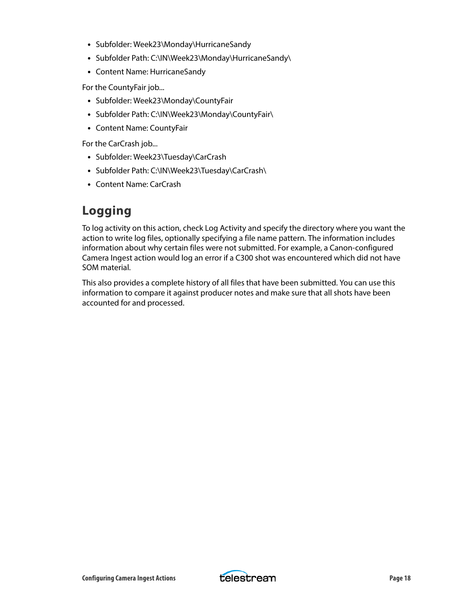- **•** Subfolder: Week23\Monday\HurricaneSandy
- **•** Subfolder Path: C:\IN\Week23\Monday\HurricaneSandy\
- **•** Content Name: HurricaneSandy

For the CountyFair job...

- **•** Subfolder: Week23\Monday\CountyFair
- **•** Subfolder Path: C:\IN\Week23\Monday\CountyFair\
- **•** Content Name: CountyFair

For the CarCrash job...

- **•** Subfolder: Week23\Tuesday\CarCrash
- **•** Subfolder Path: C:\IN\Week23\Tuesday\CarCrash\
- **•** Content Name: CarCrash

### **Logging**

To log activity on this action, check Log Activity and specify the directory where you want the action to write log files, optionally specifying a file name pattern. The information includes information about why certain files were not submitted. For example, a Canon-configured Camera Ingest action would log an error if a C300 shot was encountered which did not have SOM material.

This also provides a complete history of all files that have been submitted. You can use this information to compare it against producer notes and make sure that all shots have been accounted for and processed.

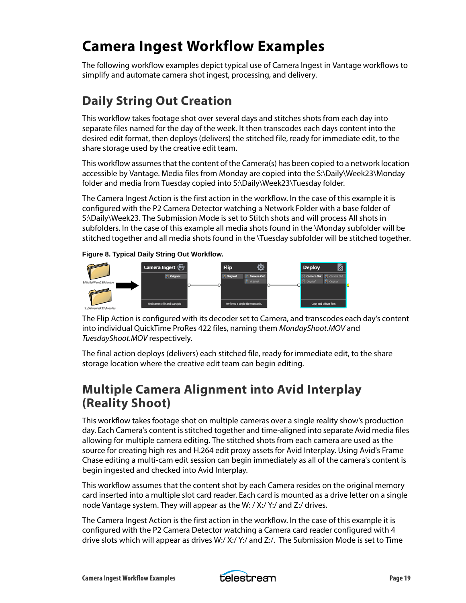## <span id="page-18-0"></span>**Camera Ingest Workflow Examples**

The following workflow examples depict typical use of Camera Ingest in Vantage workflows to simplify and automate camera shot ingest, processing, and delivery.

## **Daily String Out Creation**

This workflow takes footage shot over several days and stitches shots from each day into separate files named for the day of the week. It then transcodes each days content into the desired edit format, then deploys (delivers) the stitched file, ready for immediate edit, to the share storage used by the creative edit team.

This workflow assumes that the content of the Camera(s) has been copied to a network location accessible by Vantage. Media files from Monday are copied into the S:\Daily\Week23\Monday folder and media from Tuesday copied into S:\Daily\Week23\Tuesday folder.

The Camera Ingest Action is the first action in the workflow. In the case of this example it is configured with the P2 Camera Detector watching a Network Folder with a base folder of S:\Daily\Week23. The Submission Mode is set to Stitch shots and will process All shots in subfolders. In the case of this example all media shots found in the \Monday subfolder will be stitched together and all media shots found in the \Tuesday subfolder will be stitched together.

#### **Figure 8. Typical Daily String Out Workflow.**



The Flip Action is configured with its decoder set to Camera, and transcodes each day's content into individual QuickTime ProRes 422 files, naming them MondayShoot.MOV and TuesdayShoot.MOV respectively.

The final action deploys (delivers) each stitched file, ready for immediate edit, to the share storage location where the creative edit team can begin editing.

### **Multiple Camera Alignment into Avid Interplay (Reality Shoot)**

This workflow takes footage shot on multiple cameras over a single reality show's production day. Each Camera's content is stitched together and time-aligned into separate Avid media files allowing for multiple camera editing. The stitched shots from each camera are used as the source for creating high res and H.264 edit proxy assets for Avid Interplay. Using Avid's Frame Chase editing a multi-cam edit session can begin immediately as all of the camera's content is begin ingested and checked into Avid Interplay.

This workflow assumes that the content shot by each Camera resides on the original memory card inserted into a multiple slot card reader. Each card is mounted as a drive letter on a single node Vantage system. They will appear as the W: / X:/ Y:/ and Z:/ drives.

The Camera Ingest Action is the first action in the workflow. In the case of this example it is configured with the P2 Camera Detector watching a Camera card reader configured with 4 drive slots which will appear as drives W:/ X:/ Y:/ and Z:/. The Submission Mode is set to Time

Camera Ingest Workflow Examples **Page 19 Celestrean** Page 19

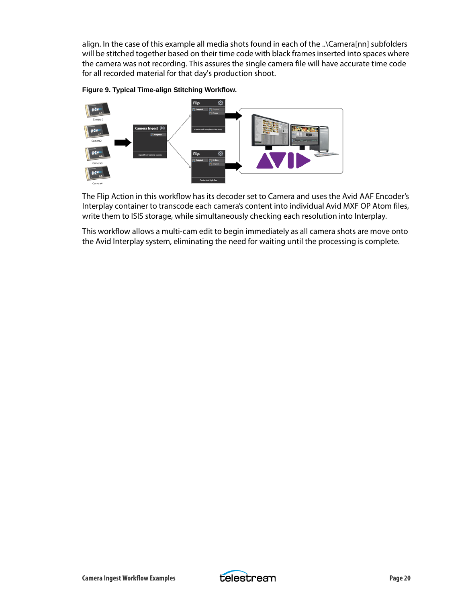align. In the case of this example all media shots found in each of the ..\Camera[nn] subfolders will be stitched together based on their time code with black frames inserted into spaces where the camera was not recording. This assures the single camera file will have accurate time code for all recorded material for that day's production shoot.





The Flip Action in this workflow has its decoder set to Camera and uses the Avid AAF Encoder's Interplay container to transcode each camera's content into individual Avid MXF OP Atom files, write them to ISIS storage, while simultaneously checking each resolution into Interplay.

This workflow allows a multi-cam edit to begin immediately as all camera shots are move onto the Avid Interplay system, eliminating the need for waiting until the processing is complete.